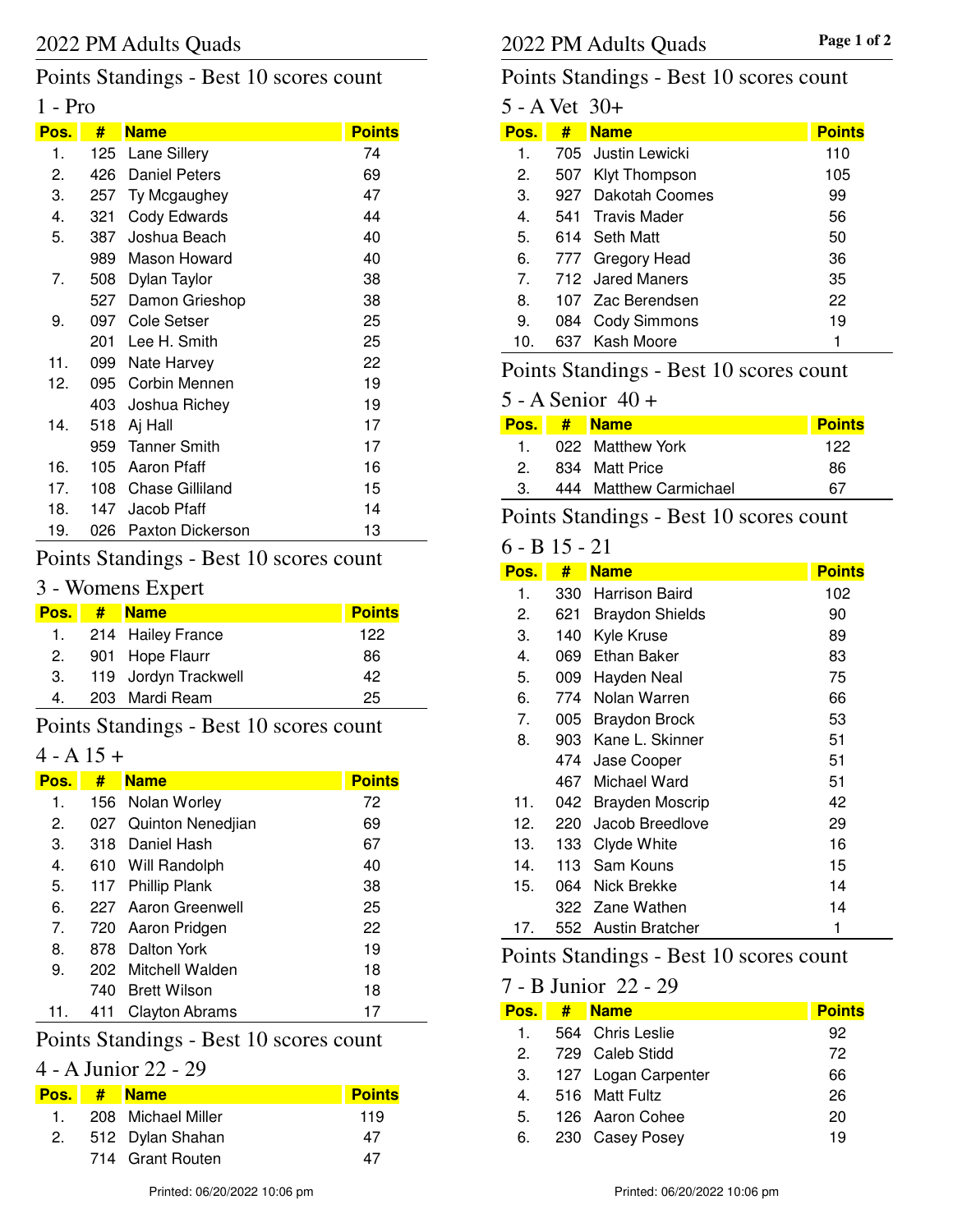## Points Standings - Best 10 scores count

### 1 - Pro

| Pos. | #   | <b>Name</b>             | <b>Points</b> |
|------|-----|-------------------------|---------------|
| 1.   | 125 | Lane Sillery            | 74            |
| 2.   | 426 | <b>Daniel Peters</b>    | 69            |
| 3.   | 257 | Ty Mcgaughey            | 47            |
| 4.   | 321 | Cody Edwards            | 44            |
| 5.   | 387 | Joshua Beach            | 40            |
|      | 989 | Mason Howard            | 40            |
| 7.   | 508 | Dylan Taylor            | 38            |
|      | 527 | Damon Grieshop          | 38            |
| 9.   | 097 | Cole Setser             | 25            |
|      | 201 | Lee H. Smith            | 25            |
| 11.  | 099 | Nate Harvey             | 22            |
| 12.  | 095 | Corbin Mennen           | 19            |
|      | 403 | Joshua Richey           | 19            |
| 14.  | 518 | Aj Hall                 | 17            |
|      | 959 | <b>Tanner Smith</b>     | 17            |
| 16.  | 105 | Aaron Pfaff             | 16            |
| 17.  | 108 | <b>Chase Gilliland</b>  | 15            |
| 18.  | 147 | Jacob Pfaff             | 14            |
| 19.  | 026 | <b>Paxton Dickerson</b> | 13            |

### Points Standings - Best 10 scores count

### 3 - Womens Expert

| Pos. I | $#$ Name             | <b>Points</b> |
|--------|----------------------|---------------|
|        | 1. 214 Hailey France | 122           |
| 2.     | 901 Hope Flaurr      | 86            |
| З.     | 119 Jordyn Trackwell | 42            |
| 4.     | 203 Mardi Ream       | 25            |

### Points Standings - Best 10 scores count

## $4 - A 15 +$

| Pos. | #    | <b>Name</b>           | <b>Points</b> |
|------|------|-----------------------|---------------|
| 1.   |      | 156 Nolan Worley      | 72            |
| 2.   |      | 027 Quinton Nenedjian | 69            |
| З.   |      | 318 Daniel Hash       | 67            |
| 4.   |      | 610 Will Randolph     | 40            |
| 5.   |      | 117 Phillip Plank     | 38            |
| 6.   |      | 227 Aaron Greenwell   | 25            |
| 7.   |      | 720 Aaron Pridgen     | 22            |
| 8.   | 878. | Dalton York           | 19            |
| 9.   |      | 202 Mitchell Walden   | 18            |
|      | 740. | <b>Brett Wilson</b>   | 18            |
| 11.  | 411  | <b>Clayton Abrams</b> | 17            |

## Points Standings - Best 10 scores count

## 4 - A Junior 22 - 29

|    | Pos. # Name           | <b>Points</b> |
|----|-----------------------|---------------|
|    | 1. 208 Michael Miller | 119           |
| 2. | 512 Dylan Shahan      | 47            |
|    | 714 Grant Routen      | 47            |

## Points Standings - Best 10 scores count

| 5 - A Vet 30+  |     |                    |               |
|----------------|-----|--------------------|---------------|
| Pos.           | #   | <b>Name</b>        | <b>Points</b> |
| 1.             |     | 705 Justin Lewicki | 110           |
| 2.             | 507 | Klyt Thompson      | 105           |
| 3.             |     | 927 Dakotah Coomes | 99            |
| $4_{\cdot}$    |     | 541 Travis Mader   | 56            |
| 5.             |     | 614 Seth Matt      | 50            |
| 6.             |     | 777 Gregory Head   | 36            |
| 7 <sub>1</sub> |     | 712 Jared Maners   | 35            |
| 8.             |     | 107 Zac Berendsen  | 22            |
| 9.             | 084 | Cody Simmons       | 19            |
| 10.            |     | 637 Kash Moore     | 1             |

## Points Standings - Best 10 scores count

### 5 - A Senior 40 +

|             | Pos. # Name            | <b>Points</b> |
|-------------|------------------------|---------------|
| $\mathbf 1$ | 022 Matthew York       | 122           |
| 2           | 834 Matt Price         | 86            |
| 3.          | 444 Matthew Carmichael | 67            |
|             |                        |               |

## Points Standings - Best 10 scores count

### 6 - B 15 - 21

| <u>Pos.</u> | #     | <b>Name</b>            | <b>Points</b> |
|-------------|-------|------------------------|---------------|
| 1.          | 330   | Harrison Baird         | 102           |
| 2.          | 621   | <b>Braydon Shields</b> | 90            |
| 3.          | 140   | Kyle Kruse             | 89            |
| 4.          | 069   | Ethan Baker            | 83            |
| 5.          | 009   | Hayden Neal            | 75            |
| 6.          | 774   | Nolan Warren           | 66            |
| 7.          | 005   | <b>Braydon Brock</b>   | 53            |
| 8.          | 903 - | Kane L. Skinner        | 51            |
|             | 474   | Jase Cooper            | 51            |
|             | 467 - | Michael Ward           | 51            |
| 11.         | 042 - | <b>Brayden Moscrip</b> | 42            |
| 12.         | 220   | Jacob Breedlove        | 29            |
| 13.         | 133   | Clyde White            | 16            |
| 14.         | 113   | Sam Kouns              | 15            |
| 15.         | 064   | Nick Brekke            | 14            |
|             | 322.  | Zane Wathen            | 14            |
| 17.         | 552   | <b>Austin Bratcher</b> | 1             |

## Points Standings - Best 10 scores count

### 7 - B Junior 22 - 29

| Pos. | # Name                 | <b>Points</b> |
|------|------------------------|---------------|
| 1.   | 564 Chris Leslie       | 92            |
| 2    | 729 Caleb Stidd        | 72            |
|      | 3. 127 Logan Carpenter | 66            |
| 4.   | 516 Matt Fultz         | 26            |
| 5.   | 126 Aaron Cohee        | 20            |
| 6.   | 230 Casey Posey        | 19            |